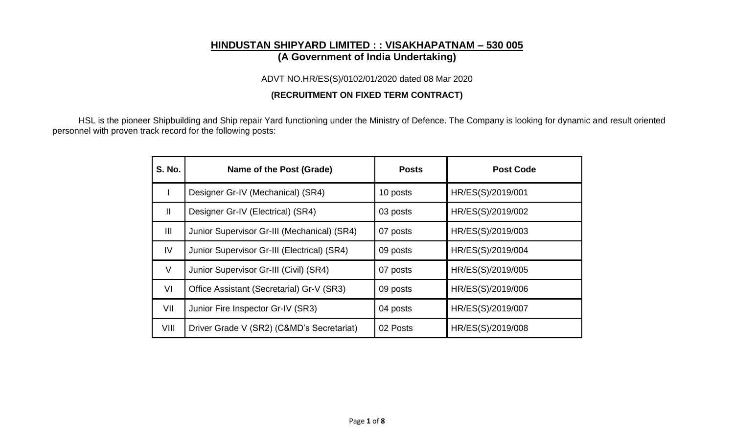# **HINDUSTAN SHIPYARD LIMITED : : VISAKHAPATNAM – 530 005 (A Government of India Undertaking)**

ADVT NO.HR/ES(S)/0102/01/2020 dated 08 Mar 2020

## **(RECRUITMENT ON FIXED TERM CONTRACT)**

HSL is the pioneer Shipbuilding and Ship repair Yard functioning under the Ministry of Defence. The Company is looking for dynamic and result oriented personnel with proven track record for the following posts:

| <b>S. No.</b> | Name of the Post (Grade)                    | <b>Posts</b> | <b>Post Code</b>  |
|---------------|---------------------------------------------|--------------|-------------------|
|               | Designer Gr-IV (Mechanical) (SR4)           | 10 posts     | HR/ES(S)/2019/001 |
| $\mathbf{I}$  | Designer Gr-IV (Electrical) (SR4)           | 03 posts     | HR/ES(S)/2019/002 |
| Ш             | Junior Supervisor Gr-III (Mechanical) (SR4) | 07 posts     | HR/ES(S)/2019/003 |
| IV            | Junior Supervisor Gr-III (Electrical) (SR4) | 09 posts     | HR/ES(S)/2019/004 |
| V             | Junior Supervisor Gr-III (Civil) (SR4)      | 07 posts     | HR/ES(S)/2019/005 |
| VI            | Office Assistant (Secretarial) Gr-V (SR3)   | 09 posts     | HR/ES(S)/2019/006 |
| VII           | Junior Fire Inspector Gr-IV (SR3)           | 04 posts     | HR/ES(S)/2019/007 |
| VIII          | Driver Grade V (SR2) (C&MD's Secretariat)   | 02 Posts     | HR/ES(S)/2019/008 |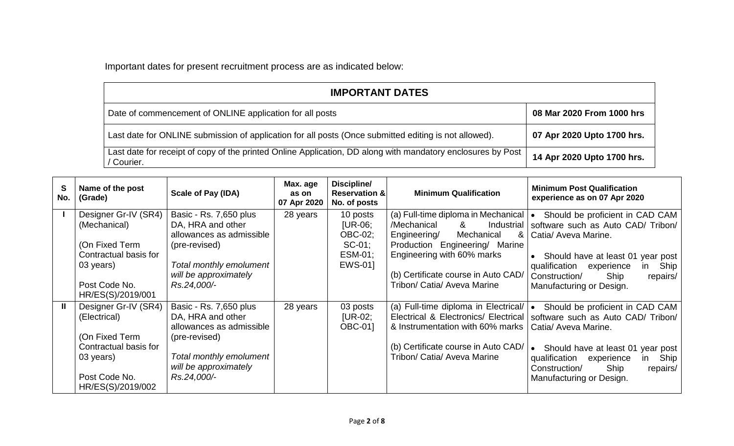Important dates for present recruitment process are as indicated below:

| <b>IMPORTANT DATES</b>                                                                                                    |                            |  |  |  |  |  |
|---------------------------------------------------------------------------------------------------------------------------|----------------------------|--|--|--|--|--|
| Date of commencement of ONLINE application for all posts                                                                  | 08 Mar 2020 From 1000 hrs  |  |  |  |  |  |
| Last date for ONLINE submission of application for all posts (Once submitted editing is not allowed).                     | 07 Apr 2020 Upto 1700 hrs. |  |  |  |  |  |
| Last date for receipt of copy of the printed Online Application, DD along with mandatory enclosures by Post<br>' Courier. | 14 Apr 2020 Upto 1700 hrs. |  |  |  |  |  |

| S<br>No. | Name of the post<br>(Grade)                                                     | <b>Scale of Pay (IDA)</b>                                                                | Max. age<br>as on<br>07 Apr 2020 | Discipline/<br><b>Reservation &amp;</b><br>No. of posts         | <b>Minimum Qualification</b>                                                                                                                                                     | <b>Minimum Post Qualification</b><br>experience as on 07 Apr 2020                                                                               |
|----------|---------------------------------------------------------------------------------|------------------------------------------------------------------------------------------|----------------------------------|-----------------------------------------------------------------|----------------------------------------------------------------------------------------------------------------------------------------------------------------------------------|-------------------------------------------------------------------------------------------------------------------------------------------------|
|          | Designer Gr-IV (SR4)<br>(Mechanical)<br>(On Fixed Term<br>Contractual basis for | Basic - Rs. 7,650 plus<br>DA, HRA and other<br>allowances as admissible<br>(pre-revised) | 28 years                         | 10 posts<br>$[UR-06]$<br><b>OBC-02:</b><br>$SC-01$ ;<br>ESM-01; | (a) Full-time diploma in Mechanical $\cdot$<br>/Mechanical<br>&<br>Industrial<br>Engineering/<br>Mechanical<br>&<br>Production Engineering/ Marine<br>Engineering with 60% marks | Should be proficient in CAD CAM<br>software such as Auto CAD/ Tribon/<br>Catia/ Aveva Marine.<br>Should have at least 01 year post              |
|          | 03 years)<br>Post Code No.<br>HR/ES(S)/2019/001                                 | Total monthly emolument<br>will be approximately<br>Rs.24,000/-                          |                                  | EWS-01]                                                         | (b) Certificate course in Auto CAD/<br>Tribon/ Catia/ Aveva Marine                                                                                                               | qualification<br>Ship<br>experience<br>in<br>Construction/<br>Ship<br>repairs/<br>Manufacturing or Design.                                      |
|          | Designer Gr-IV (SR4)<br>(Electrical)<br>(On Fixed Term<br>Contractual basis for | Basic - Rs. 7,650 plus<br>DA, HRA and other<br>allowances as admissible<br>(pre-revised) | 28 years                         | 03 posts<br>$[UR-02]$<br><b>OBC-011</b>                         | (a) Full-time diploma in Electrical/<br>Electrical & Electronics/ Electrical<br>& Instrumentation with 60% marks<br>(b) Certificate course in Auto CAD/                          | Should be proficient in CAD CAM<br>$\bullet$<br>software such as Auto CAD/ Tribon/<br>Catia/ Aveva Marine.<br>Should have at least 01 year post |
|          | 03 years)<br>Post Code No.<br>HR/ES(S)/2019/002                                 | Total monthly emolument<br>will be approximately<br>Rs.24,000/-                          |                                  |                                                                 | Tribon/ Catia/ Aveva Marine                                                                                                                                                      | qualification<br>Ship<br>experience<br>in<br>Ship<br>Construction/<br>repairs/<br>Manufacturing or Design.                                      |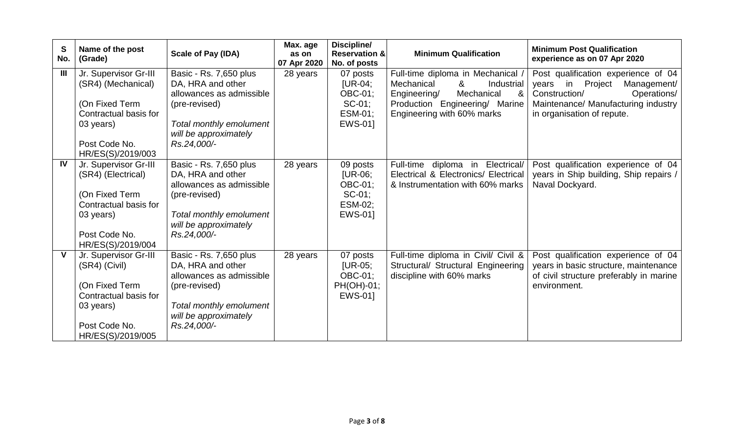| S<br>No.       | Name of the post<br>(Grade)                                                                                                               | <b>Scale of Pay (IDA)</b>                                                                                                                                   | Max. age<br>as on<br>07 Apr 2020 | Discipline/<br><b>Reservation &amp;</b><br>No. of posts                    | <b>Minimum Qualification</b>                                                                                                                                                       | <b>Minimum Post Qualification</b><br>experience as on 07 Apr 2020                                                                                                           |
|----------------|-------------------------------------------------------------------------------------------------------------------------------------------|-------------------------------------------------------------------------------------------------------------------------------------------------------------|----------------------------------|----------------------------------------------------------------------------|------------------------------------------------------------------------------------------------------------------------------------------------------------------------------------|-----------------------------------------------------------------------------------------------------------------------------------------------------------------------------|
| $\mathbf{III}$ | Jr. Supervisor Gr-III<br>(SR4) (Mechanical)<br>(On Fixed Term<br>Contractual basis for<br>03 years)<br>Post Code No.<br>HR/ES(S)/2019/003 | Basic - Rs. 7,650 plus<br>DA, HRA and other<br>allowances as admissible<br>(pre-revised)<br>Total monthly emolument<br>will be approximately<br>Rs.24,000/- | 28 years                         | 07 posts<br>$[UR-04]$<br><b>OBC-01;</b><br>$SC-01$ ;<br>ESM-01;<br>EWS-01] | Full-time diploma in Mechanical /<br>Mechanical<br>8 <sup>°</sup><br>Industrial<br>Mechanical<br>Engineering/<br>&<br>Production Engineering/ Marine<br>Engineering with 60% marks | Post qualification experience of 04<br>years in Project<br>Management/<br>Construction/<br>Operations/<br>Maintenance/ Manufacturing industry<br>in organisation of repute. |
| IV             | Jr. Supervisor Gr-III<br>(SR4) (Electrical)<br>(On Fixed Term<br>Contractual basis for<br>03 years)<br>Post Code No.<br>HR/ES(S)/2019/004 | Basic - Rs. 7,650 plus<br>DA, HRA and other<br>allowances as admissible<br>(pre-revised)<br>Total monthly emolument<br>will be approximately<br>Rs.24,000/- | 28 years                         | 09 posts<br>$[UR-06]$<br><b>OBC-01:</b><br>$SC-01$ ;<br>ESM-02;<br>EWS-01] | Full-time diploma in Electrical/<br>Electrical & Electronics/ Electrical<br>& Instrumentation with 60% marks                                                                       | Post qualification experience of 04<br>years in Ship building, Ship repairs /<br>Naval Dockyard.                                                                            |
| V              | Jr. Supervisor Gr-III<br>(SR4) (Civil)<br>(On Fixed Term<br>Contractual basis for<br>03 years)<br>Post Code No.<br>HR/ES(S)/2019/005      | Basic - Rs. 7,650 plus<br>DA, HRA and other<br>allowances as admissible<br>(pre-revised)<br>Total monthly emolument<br>will be approximately<br>Rs.24,000/- | 28 years                         | 07 posts<br><b>IUR-05;</b><br><b>OBC-01:</b><br>PH(OH)-01;<br>EWS-01]      | Full-time diploma in Civil/ Civil &<br>Structural/ Structural Engineering<br>discipline with 60% marks                                                                             | Post qualification experience of 04<br>years in basic structure, maintenance<br>of civil structure preferably in marine<br>environment.                                     |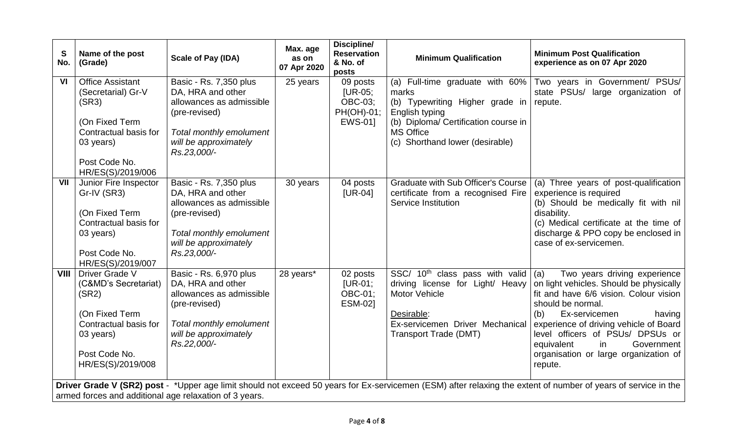| S<br>No. | Name of the post<br>(Grade)                                                                                                                                                                                              | Scale of Pay (IDA)                                                                                                                                          | Max. age<br>as on<br>07 Apr 2020 | Discipline/<br><b>Reservation</b><br>& No. of<br>posts           | <b>Minimum Qualification</b>                                                                                                                                                                  | <b>Minimum Post Qualification</b><br>experience as on 07 Apr 2020                                                                                                                                                                                                                                                                            |  |
|----------|--------------------------------------------------------------------------------------------------------------------------------------------------------------------------------------------------------------------------|-------------------------------------------------------------------------------------------------------------------------------------------------------------|----------------------------------|------------------------------------------------------------------|-----------------------------------------------------------------------------------------------------------------------------------------------------------------------------------------------|----------------------------------------------------------------------------------------------------------------------------------------------------------------------------------------------------------------------------------------------------------------------------------------------------------------------------------------------|--|
| VI       | <b>Office Assistant</b><br>(Secretarial) Gr-V<br>(SR3)<br>(On Fixed Term<br>Contractual basis for<br>03 years)<br>Post Code No.<br>HR/ES(S)/2019/006                                                                     | Basic - Rs. 7,350 plus<br>DA, HRA and other<br>allowances as admissible<br>(pre-revised)<br>Total monthly emolument<br>will be approximately<br>Rs.23,000/- | 25 years                         | 09 posts<br>$[UR-05]$<br><b>OBC-03;</b><br>PH(OH)-01;<br>EWS-01] | (a) Full-time graduate with 60%<br>marks<br>(b) Typewriting Higher grade in<br>English typing<br>(b) Diploma/ Certification course in<br><b>MS Office</b><br>(c) Shorthand lower (desirable)  | Two years in Government/ PSUs/<br>state PSUs/ large organization of<br>repute.                                                                                                                                                                                                                                                               |  |
| VII      | Junior Fire Inspector<br>Gr-IV (SR3)<br>(On Fixed Term<br>Contractual basis for<br>03 years)<br>Post Code No.<br>HR/ES(S)/2019/007                                                                                       | Basic - Rs. 7,350 plus<br>DA, HRA and other<br>allowances as admissible<br>(pre-revised)<br>Total monthly emolument<br>will be approximately<br>Rs.23,000/- | 30 years                         | 04 posts<br>$[UR-04]$                                            | <b>Graduate with Sub Officer's Course</b><br>certificate from a recognised Fire<br>Service Institution                                                                                        | (a) Three years of post-qualification<br>experience is required<br>(b) Should be medically fit with nil<br>disability.<br>(c) Medical certificate at the time of<br>discharge & PPO copy be enclosed in<br>case of ex-servicemen.                                                                                                            |  |
|          | <b>VIII</b>   Driver Grade V<br>(C&MD's Secretariat)<br>(SR2)<br>(On Fixed Term<br>Contractual basis for<br>03 years)<br>Post Code No.<br>HR/ES(S)/2019/008                                                              | Basic - Rs. 6,970 plus<br>DA, HRA and other<br>allowances as admissible<br>(pre-revised)<br>Total monthly emolument<br>will be approximately<br>Rs.22,000/- | 28 years*                        | 02 posts<br>$[UR-01]$<br>OBC-01;<br><b>ESM-021</b>               | SSC/ 10 <sup>th</sup> class pass with valid $\vert$ (a)<br>driving license for Light/ Heavy<br>Motor Vehicle<br>Desirable:<br>Ex-servicemen Driver Mechanical<br><b>Transport Trade (DMT)</b> | Two years driving experience<br>on light vehicles. Should be physically<br>fit and have 6/6 vision. Colour vision<br>should be normal.<br>Ex-servicemen<br>(b)<br>having<br>experience of driving vehicle of Board<br>level officers of PSUs/ DPSUs or<br>Government<br>equivalent<br>in<br>organisation or large organization of<br>repute. |  |
|          | Driver Grade V (SR2) post - *Upper age limit should not exceed 50 years for Ex-servicemen (ESM) after relaxing the extent of number of years of service in the<br>armed forces and additional age relaxation of 3 years. |                                                                                                                                                             |                                  |                                                                  |                                                                                                                                                                                               |                                                                                                                                                                                                                                                                                                                                              |  |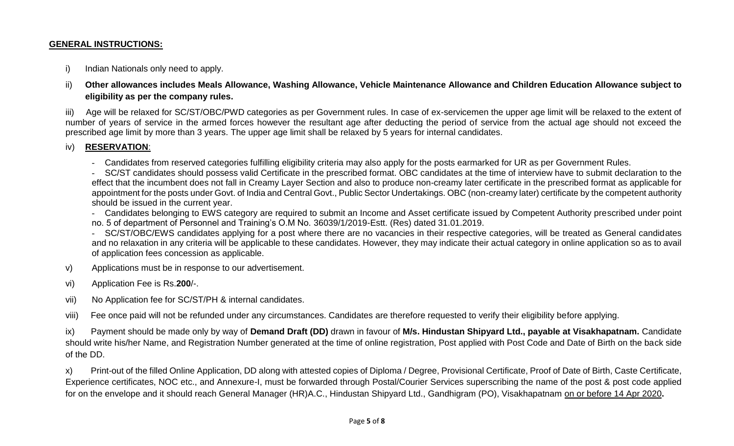#### **GENERAL INSTRUCTIONS:**

i) Indian Nationals only need to apply.

ii) **Other allowances includes Meals Allowance, Washing Allowance, Vehicle Maintenance Allowance and Children Education Allowance subject to eligibility as per the company rules.**

iii) Age will be relaxed for SC/ST/OBC/PWD categories as per Government rules. In case of ex-servicemen the upper age limit will be relaxed to the extent of number of years of service in the armed forces however the resultant age after deducting the period of service from the actual age should not exceed the prescribed age limit by more than 3 years. The upper age limit shall be relaxed by 5 years for internal candidates.

#### iv) **RESERVATION**:

- Candidates from reserved categories fulfilling eligibility criteria may also apply for the posts earmarked for UR as per Government Rules.

- SC/ST candidates should possess valid Certificate in the prescribed format. OBC candidates at the time of interview have to submit declaration to the effect that the incumbent does not fall in Creamy Layer Section and also to produce non-creamy later certificate in the prescribed format as applicable for appointment for the posts under Govt. of India and Central Govt., Public Sector Undertakings. OBC (non-creamy later) certificate by the competent authority should be issued in the current year.

- Candidates belonging to EWS category are required to submit an Income and Asset certificate issued by Competent Authority prescribed under point

no. 5 of department of Personnel and Training's O.M No. 36039/1/2019-Estt. (Res) dated 31.01.2019.

- SC/ST/OBC/EWS candidates applying for a post where there are no vacancies in their respective categories, will be treated as General candidates and no relaxation in any criteria will be applicable to these candidates. However, they may indicate their actual category in online application so as to avail of application fees concession as applicable.

- v) Applications must be in response to our advertisement.
- vi) Application Fee is Rs.**200**/-.
- vii) No Application fee for SC/ST/PH & internal candidates.

viii) Fee once paid will not be refunded under any circumstances. Candidates are therefore requested to verify their eligibility before applying.

ix) Payment should be made only by way of **Demand Draft (DD)** drawn in favour of **M/s. Hindustan Shipyard Ltd., payable at Visakhapatnam.** Candidate should write his/her Name, and Registration Number generated at the time of online registration, Post applied with Post Code and Date of Birth on the back side of the DD.

x) Print-out of the filled Online Application, DD along with attested copies of Diploma / Degree, Provisional Certificate, Proof of Date of Birth, Caste Certificate, Experience certificates, NOC etc., and Annexure-I, must be forwarded through Postal/Courier Services superscribing the name of the post & post code applied for on the envelope and it should reach General Manager (HR)A.C., Hindustan Shipyard Ltd., Gandhigram (PO), Visakhapatnam on or before 14 Apr 2020**.**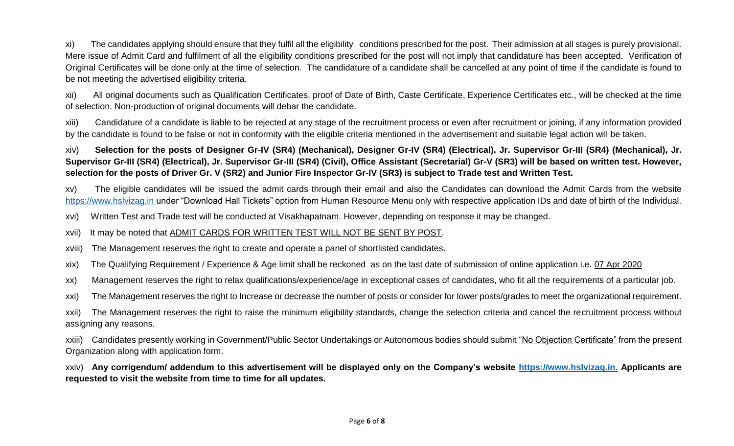xi) The candidates applying should ensure that they fulfil all the eligibility conditions prescribed for the post. Their admission at all stages is purely provisional. Mere issue of Admit Card and fulfilment of all the eligibility conditions prescribed for the post will not imply that candidature has been accepted. Verification of Original Certificates will be done only at the time of selection. The candidature of a candidate shall be cancelled at any point of time if the candidate is found to be not meeting the advertised eligibility criteria.

xii) All original documents such as Qualification Certificates, proof of Date of Birth, Caste Certificate, Experience Certificates etc., will be checked at the time of selection. Non-production of original documents will debar the candidate.

xiii) Candidature of a candidate is liable to be rejected at any stage of the recruitment process or even after recruitment or joining, if any information provided by the candidate is found to be false or not in conformity with the eligible criteria mentioned in the advertisement and suitable legal action will be taken.

xiv) **Selection for the posts of Designer Gr-IV (SR4) (Mechanical), Designer Gr-IV (SR4) (Electrical), Jr. Supervisor Gr-III (SR4) (Mechanical), Jr. Supervisor Gr-III (SR4) (Electrical), Jr. Supervisor Gr-III (SR4) (Civil), Office Assistant (Secretarial) Gr-V (SR3) will be based on written test. However, selection for the posts of Driver Gr. V (SR2) and Junior Fire Inspector Gr-IV (SR3) is subject to Trade test and Written Test.** 

xv) The eligible candidates will be issued the admit cards through their email and also the Candidates can download the Admit Cards from the website [https://www.hslvizag.in](https://www.hslvizag.in/) under "Download Hall Tickets" option from Human Resource Menu only with respective application IDs and date of birth of the Individual.

xvi) Written Test and Trade test will be conducted at Visakhapatnam. However, depending on response it may be changed.

## xvii) It may be noted that ADMIT CARDS FOR WRITTEN TEST WILL NOT BE SENT BY POST.

xviii) The Management reserves the right to create and operate a panel of shortlisted candidates.

xix) The Qualifying Requirement / Experience & Age limit shall be reckoned as on the last date of submission of online application i.e. 07 Apr 2020

xx) Management reserves the right to relax qualifications/experience/age in exceptional cases of candidates, who fit all the requirements of a particular job.

xxi) The Management reserves the right to Increase or decrease the number of posts or consider for lower posts/grades to meet the organizational requirement.

xxii) The Management reserves the right to raise the minimum eligibility standards, change the selection criteria and cancel the recruitment process without assigning any reasons.

xxiii) Candidates presently working in Government/Public Sector Undertakings or Autonomous bodies should submit "No Objection Certificate" from the present Organization along with application form.

xxiv) **Any corrigendum/ addendum to this advertisement will be displayed only on the Company's website [https://www.hslvizag.in.](https://www.hslvizag.in/) Applicants are requested to visit the website from time to time for all updates.**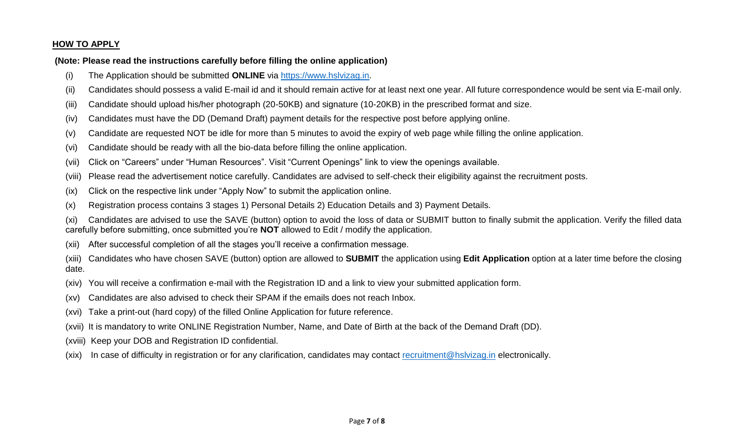#### **HOW TO APPLY**

#### **(Note: Please read the instructions carefully before filling the online application)**

- (i) The Application should be submitted **ONLINE** via [https://www.hslvizag.in.](https://www.hslvizag.in/)
- (ii) Candidates should possess a valid E-mail id and it should remain active for at least next one year. All future correspondence would be sent via E-mail only.
- (iii) Candidate should upload his/her photograph (20-50KB) and signature (10-20KB) in the prescribed format and size.
- (iv) Candidates must have the DD (Demand Draft) payment details for the respective post before applying online.
- (v) Candidate are requested NOT be idle for more than 5 minutes to avoid the expiry of web page while filling the online application.
- (vi) Candidate should be ready with all the bio-data before filling the online application.
- (vii) Click on "Careers" under "Human Resources". Visit "Current Openings" link to view the openings available.
- (viii) Please read the advertisement notice carefully. Candidates are advised to self-check their eligibility against the recruitment posts.
- (ix) Click on the respective link under "Apply Now" to submit the application online.
- (x) Registration process contains 3 stages 1) Personal Details 2) Education Details and 3) Payment Details.

(xi) Candidates are advised to use the SAVE (button) option to avoid the loss of data or SUBMIT button to finally submit the application. Verify the filled data carefully before submitting, once submitted you're **NOT** allowed to Edit / modify the application.

- (xii) After successful completion of all the stages you'll receive a confirmation message.
- (xiii) Candidates who have chosen SAVE (button) option are allowed to **SUBMIT** the application using **Edit Application** option at a later time before the closing date.
- (xiv) You will receive a confirmation e-mail with the Registration ID and a link to view your submitted application form.
- (xv) Candidates are also advised to check their SPAM if the emails does not reach Inbox.
- (xvi) Take a print-out (hard copy) of the filled Online Application for future reference.
- (xvii) It is mandatory to write ONLINE Registration Number, Name, and Date of Birth at the back of the Demand Draft (DD).
- (xviii) Keep your DOB and Registration ID confidential.
- (xix) In case of difficulty in registration or for any clarification, candidates may contact [recruitment@hslvizag.in](mailto:recruitment@hslvizag.in) electronically.